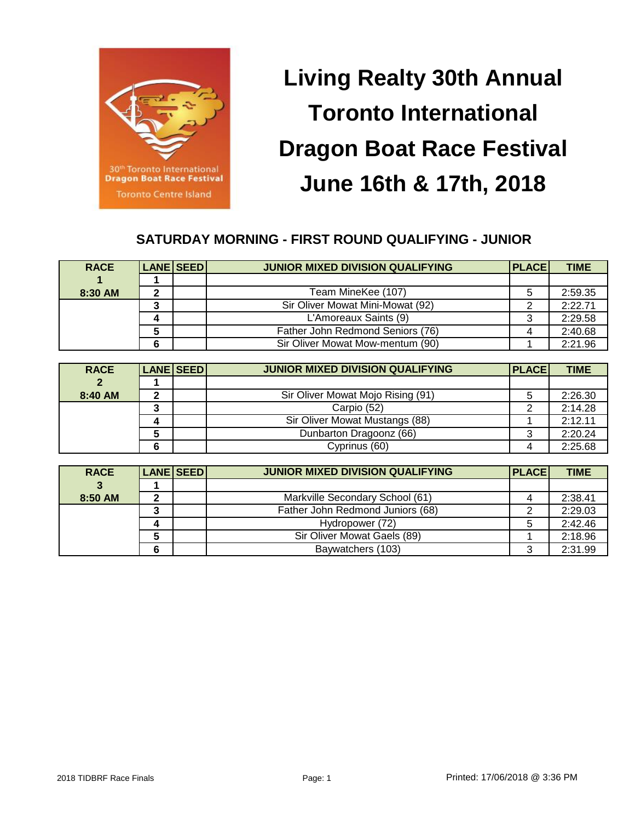

# **Living Realty 30th Annual Toronto International Dragon Boat Race Festival June 16th & 17th, 2018**

# **SATURDAY MORNING - FIRST ROUND QUALIFYING - JUNIOR**

| <b>RACE</b> | <b>LANE SEED</b> | <b>JUNIOR MIXED DIVISION QUALIFYING</b> | <b>PLACE</b> | <b>TIME</b> |
|-------------|------------------|-----------------------------------------|--------------|-------------|
|             |                  |                                         |              |             |
| 8:30 AM     |                  | Team MineKee (107)                      | 5            | 2:59.35     |
|             |                  | Sir Oliver Mowat Mini-Mowat (92)        |              | 2:22.71     |
|             |                  | L'Amoreaux Saints (9)                   |              | 2:29.58     |
|             |                  | Father John Redmond Seniors (76)        |              | 2:40.68     |
|             |                  | Sir Oliver Mowat Mow-mentum (90)        |              | 2:21.96     |

| <b>RACE</b>    | LANE SEED | <b>JUNIOR MIXED DIVISION QUALIFYING</b> | <b>PLACE</b> | <b>TIME</b> |
|----------------|-----------|-----------------------------------------|--------------|-------------|
| $\overline{2}$ |           |                                         |              |             |
| 8:40 AM        |           | Sir Oliver Mowat Mojo Rising (91)       | 5            | 2:26.30     |
|                |           | Carpio (52)                             | ົ            | 2:14.28     |
|                |           | Sir Oliver Mowat Mustangs (88)          |              | 2:12.11     |
|                |           | Dunbarton Dragoonz (66)                 | 3            | 2:20.24     |
|                |           | Cyprinus (60)                           |              | 2:25.68     |

| <b>RACE</b> | <b>LANE SEED</b> | <b>JUNIOR MIXED DIVISION QUALIFYING</b> | <b>PLACE</b> | <b>TIME</b> |
|-------------|------------------|-----------------------------------------|--------------|-------------|
|             |                  |                                         |              |             |
| 8:50 AM     |                  | Markville Secondary School (61)         |              | 2:38.41     |
|             |                  | Father John Redmond Juniors (68)        |              | 2:29.03     |
|             |                  | Hydropower (72)                         | 5            | 2:42.46     |
|             |                  | Sir Oliver Mowat Gaels (89)             |              | 2:18.96     |
|             |                  | Baywatchers (103)                       | 3            | 2:31.99     |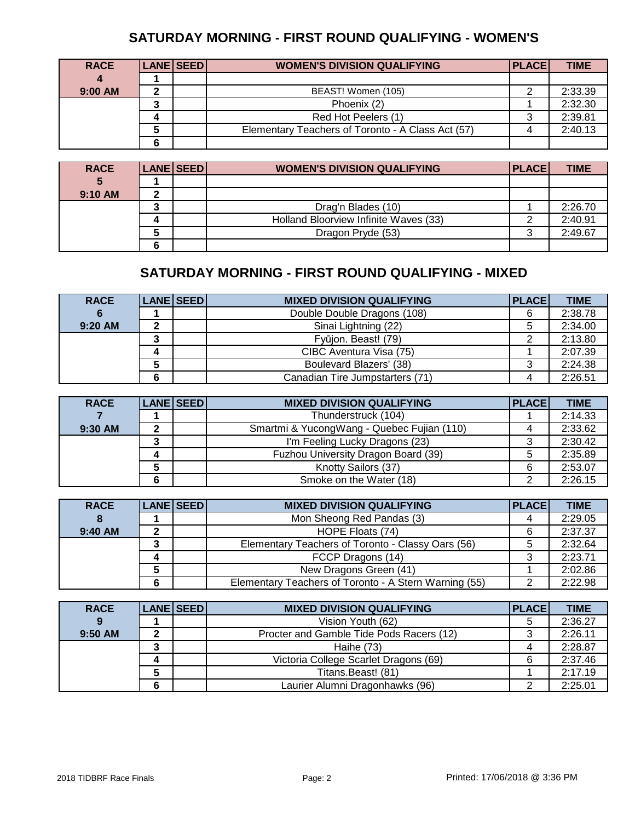# **SATURDAY MORNING - FIRST ROUND QUALIFYING - WOMEN'S**

| <b>RACE</b> | <b>LANE SEED</b> | <b>WOMEN'S DIVISION QUALIFYING</b>                | PLACE | <b>TIME</b> |
|-------------|------------------|---------------------------------------------------|-------|-------------|
|             |                  |                                                   |       |             |
| 9:00 AM     |                  | BEAST! Women (105)                                |       | 2:33.39     |
|             |                  | Phoenix (2)                                       |       | 2:32.30     |
|             |                  | Red Hot Peelers (1)                               |       | 2:39.81     |
|             |                  | Elementary Teachers of Toronto - A Class Act (57) |       | 2:40.13     |
|             |                  |                                                   |       |             |

| <b>RACE</b> | <b>LANE SEED</b> | <b>WOMEN'S DIVISION QUALIFYING</b>    | <b>PLACE</b> | <b>TIME</b> |
|-------------|------------------|---------------------------------------|--------------|-------------|
| 5           |                  |                                       |              |             |
| 9:10 AM     |                  |                                       |              |             |
|             |                  | Drag'n Blades (10)                    |              | 2:26.70     |
|             |                  | Holland Bloorview Infinite Waves (33) |              | 2:40.91     |
|             |                  | Dragon Pryde (53)                     | ◠<br>ີ       | 2:49.67     |
|             |                  |                                       |              |             |

#### **SATURDAY MORNING - FIRST ROUND QUALIFYING - MIXED**

| <b>RACE</b> |   | LANE SEED | <b>MIXED DIVISION QUALIFYING</b> | <b>PLACE</b> | <b>TIME</b> |
|-------------|---|-----------|----------------------------------|--------------|-------------|
|             |   |           | Double Double Dragons (108)      | 6            | 2:38.78     |
| 9:20 AM     |   |           | Sinai Lightning (22)             | 5            | 2:34.00     |
|             |   |           | Fyūjon. Beast! (79)              |              | 2:13.80     |
|             |   |           | CIBC Aventura Visa (75)          |              | 2:07.39     |
|             |   |           | Boulevard Blazers' (38)          | 3            | 2:24.38     |
|             | 6 |           | Canadian Tire Jumpstarters (71)  |              | 2:26.51     |

| <b>RACE</b> |   | LANE SEED | <b>MIXED DIVISION QUALIFYING</b>           | <b>PLACE</b> | <b>TIME</b> |
|-------------|---|-----------|--------------------------------------------|--------------|-------------|
|             |   |           | Thunderstruck (104)                        |              | 2:14.33     |
| 9:30 AM     |   |           | Smartmi & YucongWang - Quebec Fujian (110) |              | 2:33.62     |
|             |   |           | I'm Feeling Lucky Dragons (23)             | 3            | 2:30.42     |
|             |   |           | Fuzhou University Dragon Board (39)        | 5            | 2:35.89     |
|             |   |           | Knotty Sailors (37)                        | 6            | 2:53.07     |
|             | 6 |           | Smoke on the Water (18)                    |              | 2:26.15     |

| <b>RACE</b> | LANE SEED | <b>MIXED DIVISION QUALIFYING</b>                      | <b>PLACE</b> | <b>TIME</b> |
|-------------|-----------|-------------------------------------------------------|--------------|-------------|
|             |           | Mon Sheong Red Pandas (3)                             | 4            | 2:29.05     |
| 9:40 AM     |           | HOPE Floats (74)                                      | 6            | 2:37.37     |
|             |           | Elementary Teachers of Toronto - Classy Oars (56)     | 5            | 2:32.64     |
|             |           | FCCP Dragons (14)                                     | 3            | 2:23.71     |
|             |           | New Dragons Green (41)                                |              | 2:02.86     |
|             |           | Elementary Teachers of Toronto - A Stern Warning (55) | ົ            | 2:22.98     |

| <b>RACE</b> | LANE SEED | <b>MIXED DIVISION QUALIFYING</b>         | <b>PLACE</b> | <b>TIME</b> |
|-------------|-----------|------------------------------------------|--------------|-------------|
|             |           | Vision Youth (62)                        | 5            | 2:36.27     |
| 9:50 AM     |           | Procter and Gamble Tide Pods Racers (12) | 3            | 2:26.11     |
|             |           | Haihe (73)                               |              | 2:28.87     |
|             |           | Victoria College Scarlet Dragons (69)    | 6            | 2:37.46     |
|             |           | Titans.Beast! (81)                       |              | 2:17.19     |
|             |           | Laurier Alumni Dragonhawks (96)          |              | 2:25.01     |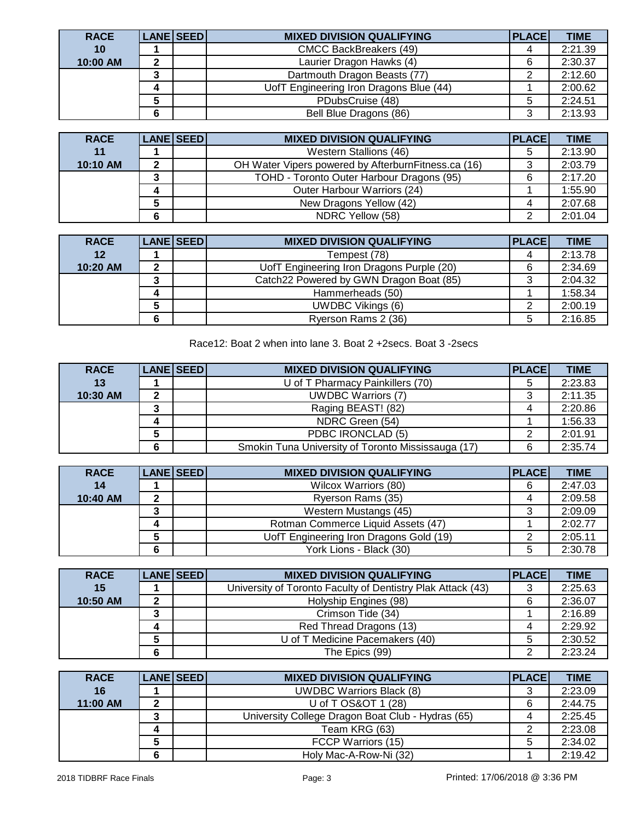| <b>RACE</b> |   | <b>LANE SEED</b> | <b>MIXED DIVISION QUALIFYING</b>        | <b>PLACE</b> | <b>TIME</b> |
|-------------|---|------------------|-----------------------------------------|--------------|-------------|
| 10          |   |                  | <b>CMCC BackBreakers (49)</b>           |              | 2:21.39     |
| 10:00 AM    | ◠ |                  | Laurier Dragon Hawks (4)                | 6            | 2:30.37     |
|             |   |                  | Dartmouth Dragon Beasts (77)            | ◠            | 2:12.60     |
|             |   |                  | UofT Engineering Iron Dragons Blue (44) |              | 2:00.62     |
|             |   |                  | PDubsCruise (48)                        | 5            | 2:24.51     |
|             |   |                  | Bell Blue Dragons (86)                  | 3            | 2:13.93     |

| <b>RACE</b> |   | LANE SEED | <b>MIXED DIVISION QUALIFYING</b>                     | <b>PLACE</b> | <b>TIME</b> |
|-------------|---|-----------|------------------------------------------------------|--------------|-------------|
| 11          |   |           | Western Stallions (46)                               | 5            | 2:13.90     |
| 10:10 AM    |   |           | OH Water Vipers powered by Afterburn Fitness.ca (16) | ◠            | 2:03.79     |
|             |   |           | TOHD - Toronto Outer Harbour Dragons (95)            | 6            | 2:17.20     |
|             |   |           | Outer Harbour Warriors (24)                          |              | 1:55.90     |
|             |   |           | New Dragons Yellow (42)                              |              | 2:07.68     |
|             | հ |           | NDRC Yellow (58)                                     | ⌒            | 2:01.04     |

| <b>RACE</b> | LANE SEED | <b>MIXED DIVISION QUALIFYING</b>          | <b>PLACE</b> | <b>TIME</b> |
|-------------|-----------|-------------------------------------------|--------------|-------------|
| 12          |           | Tempest (78)                              |              | 2:13.78     |
| 10:20 AM    |           | UofT Engineering Iron Dragons Purple (20) | 6            | 2:34.69     |
|             |           | Catch22 Powered by GWN Dragon Boat (85)   |              | 2:04.32     |
|             |           | Hammerheads (50)                          |              | 1:58.34     |
|             |           | <b>UWDBC Vikings (6)</b>                  |              | 2:00.19     |
|             |           | Ryerson Rams 2 (36)                       | 5            | 2:16.85     |

Race12: Boat 2 when into lane 3. Boat 2 +2secs. Boat 3 -2secs

| <b>RACE</b> | <b>LANE SEED</b> | <b>MIXED DIVISION QUALIFYING</b>                   | <b>PLACE</b> | <b>TIME</b> |
|-------------|------------------|----------------------------------------------------|--------------|-------------|
| 13          |                  | U of T Pharmacy Painkillers (70)                   | 5            | 2:23.83     |
| 10:30 AM    |                  | <b>UWDBC Warriors (7)</b>                          | د            | 2:11.35     |
|             |                  | Raging BEAST! (82)                                 | 4            | 2:20.86     |
|             |                  | NDRC Green (54)                                    |              | 1:56.33     |
|             |                  | PDBC IRONCLAD (5)                                  |              | 2:01.91     |
|             |                  | Smokin Tuna University of Toronto Mississauga (17) | 6            | 2:35.74     |

| <b>RACE</b> |   | LANE SEED | <b>MIXED DIVISION QUALIFYING</b>        | <b>PLACE</b> | <b>TIME</b> |
|-------------|---|-----------|-----------------------------------------|--------------|-------------|
| 14          |   |           | Wilcox Warriors (80)                    | 6            | 2:47.03     |
| 10:40 AM    | ◠ |           | Ryerson Rams (35)                       | 4            | 2:09.58     |
|             |   |           | Western Mustangs (45)                   | 3            | 2:09.09     |
|             |   |           | Rotman Commerce Liquid Assets (47)      |              | 2:02.77     |
|             |   |           | UofT Engineering Iron Dragons Gold (19) | ົ            | 2:05.11     |
|             |   |           | York Lions - Black (30)                 | 5            | 2:30.78     |

| <b>RACE</b> |   | LANE SEED | <b>MIXED DIVISION QUALIFYING</b>                            | <b>PLACE</b> | <b>TIME</b> |
|-------------|---|-----------|-------------------------------------------------------------|--------------|-------------|
| 15          |   |           | University of Toronto Faculty of Dentistry Plak Attack (43) | 3            | 2:25.63     |
| 10:50 AM    |   |           | Holyship Engines (98)                                       | 6            | 2:36.07     |
|             |   |           | Crimson Tide (34)                                           |              | 2:16.89     |
|             |   |           | Red Thread Dragons (13)                                     |              | 2:29.92     |
|             |   |           | U of T Medicine Pacemakers (40)                             | 5            | 2:30.52     |
|             | 6 |           | The Epics (99)                                              | ົ            | 2:23.24     |

| <b>RACE</b> | <b>LANE SEED</b> | <b>MIXED DIVISION QUALIFYING</b>                  | <b>PLACE</b> | <b>TIME</b> |
|-------------|------------------|---------------------------------------------------|--------------|-------------|
| 16          |                  | <b>UWDBC Warriors Black (8)</b>                   |              | 2:23.09     |
| 11:00 AM    |                  | U of T OS&OT 1 (28)                               | 6            | 2:44.75     |
|             |                  | University College Dragon Boat Club - Hydras (65) | 4            | 2:25.45     |
|             |                  | Team KRG (63)                                     |              | 2:23.08     |
|             |                  | FCCP Warriors (15)                                |              | 2:34.02     |
|             |                  | Holy Mac-A-Row-Ni (32)                            |              | 2:19.42     |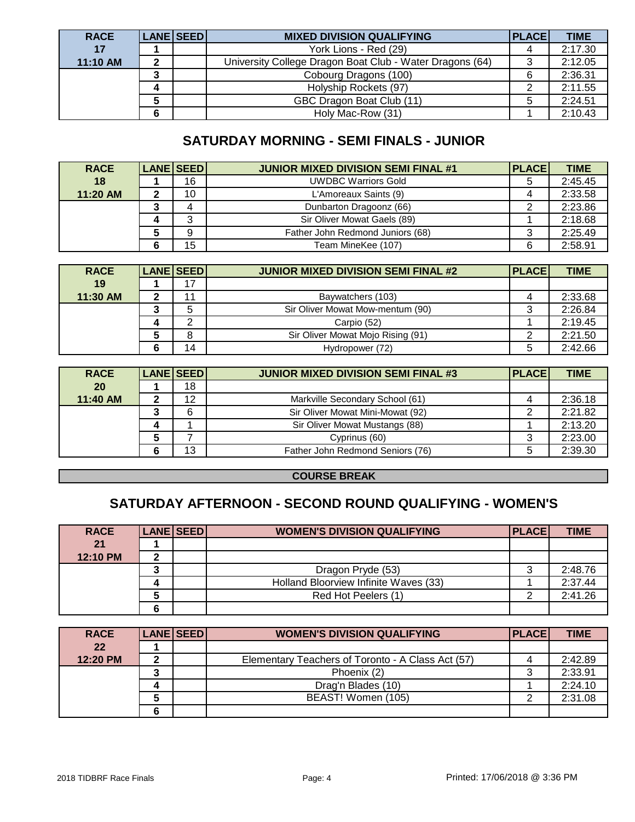| <b>RACE</b> |   | <b>LANE SEED</b> | <b>MIXED DIVISION QUALIFYING</b>                         | <b>PLACE</b> | <b>TIME</b> |
|-------------|---|------------------|----------------------------------------------------------|--------------|-------------|
| 17          |   |                  | York Lions - Red (29)                                    |              | 2:17.30     |
| 11:10 AM    |   |                  | University College Dragon Boat Club - Water Dragons (64) | ◠            | 2:12.05     |
|             |   |                  | Cobourg Dragons (100)                                    | 6            | 2:36.31     |
|             |   |                  | Holyship Rockets (97)                                    | ⌒            | 2:11.55     |
|             |   |                  | GBC Dragon Boat Club (11)                                | 5            | 2:24.51     |
|             | 6 |                  | Holy Mac-Row (31)                                        |              | 2:10.43     |

# **SATURDAY MORNING - SEMI FINALS - JUNIOR**

| <b>RACE</b> | LANE SEED | <b>JUNIOR MIXED DIVISION SEMI FINAL #1</b> | <b>PLACE</b> | <b>TIME</b> |
|-------------|-----------|--------------------------------------------|--------------|-------------|
| 18          | 16        | <b>UWDBC Warriors Gold</b>                 | 5            | 2:45.45     |
| 11:20 AM    | 10        | L'Amoreaux Saints (9)                      |              | 2:33.58     |
|             |           | Dunbarton Dragoonz (66)                    |              | 2:23.86     |
|             |           | Sir Oliver Mowat Gaels (89)                |              | 2:18.68     |
|             | 9         | Father John Redmond Juniors (68)           | 3            | 2:25.49     |
|             | 15        | Team MineKee (107)                         | 6            | 2:58.91     |

| <b>RACE</b> | <b>LANE SEED</b> | <b>JUNIOR MIXED DIVISION SEMI FINAL #2</b> | <b>PLACE</b> | <b>TIME</b> |
|-------------|------------------|--------------------------------------------|--------------|-------------|
| 19          | $\overline{7}$   |                                            |              |             |
| 11:30 AM    |                  | Baywatchers (103)                          |              | 2:33.68     |
|             |                  | Sir Oliver Mowat Mow-mentum (90)           |              | 2:26.84     |
|             |                  | Carpio (52)                                |              | 2:19.45     |
|             |                  | Sir Oliver Mowat Mojo Rising (91)          |              | 2:21.50     |
|             | 14               | Hydropower (72)                            | 5            | 2:42.66     |

| <b>RACE</b> | LANE SEED | <b>JUNIOR MIXED DIVISION SEMI FINAL #3</b> | <b>PLACE</b> | <b>TIME</b> |
|-------------|-----------|--------------------------------------------|--------------|-------------|
| <b>20</b>   | 18        |                                            |              |             |
| 11:40 AM    | 12        | Markville Secondary School (61)            |              | 2:36.18     |
|             | 6         | Sir Oliver Mowat Mini-Mowat (92)           |              | 2:21.82     |
|             |           | Sir Oliver Mowat Mustangs (88)             |              | 2:13.20     |
|             |           | Cyprinus (60)                              | 3            | 2:23.00     |
|             | 13        | Father John Redmond Seniors (76)           | 5            | 2:39.30     |

#### **COURSE BREAK**

## **SATURDAY AFTERNOON - SECOND ROUND QUALIFYING - WOMEN'S**

| <b>RACE</b> | <b>LANE SEED</b> | <b>WOMEN'S DIVISION QUALIFYING</b>    | <b>PLACE</b> | <b>TIME</b> |
|-------------|------------------|---------------------------------------|--------------|-------------|
| 21          |                  |                                       |              |             |
| 12:10 PM    |                  |                                       |              |             |
|             |                  | Dragon Pryde (53)                     |              | 2:48.76     |
|             |                  | Holland Bloorview Infinite Waves (33) |              | 2:37.44     |
|             |                  | Red Hot Peelers (1)                   |              | 2:41.26     |
|             |                  |                                       |              |             |

| <b>RACE</b> | <b>LANE SEED</b> | <b>WOMEN'S DIVISION QUALIFYING</b>                | <b>PLACE</b> | <b>TIME</b> |
|-------------|------------------|---------------------------------------------------|--------------|-------------|
| 22          |                  |                                                   |              |             |
| 12:20 PM    |                  | Elementary Teachers of Toronto - A Class Act (57) |              | 2:42.89     |
|             |                  | Phoenix (2)                                       | د            | 2:33.91     |
|             |                  | Drag'n Blades (10)                                |              | 2:24.10     |
|             |                  | BEAST! Women (105)                                |              | 2:31.08     |
|             |                  |                                                   |              |             |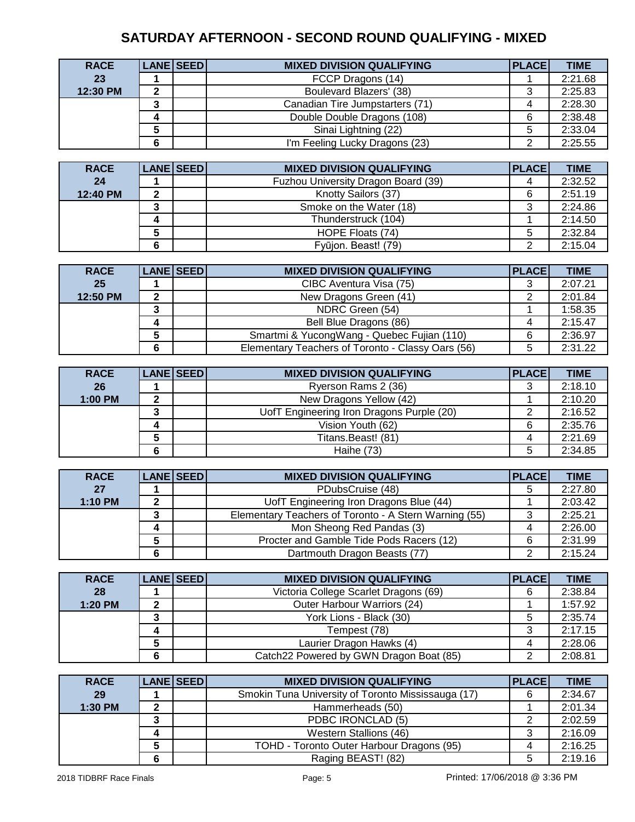# **SATURDAY AFTERNOON - SECOND ROUND QUALIFYING - MIXED**

| <b>RACE</b> |   | LANE SEED | <b>MIXED DIVISION QUALIFYING</b> | <b>PLACE</b> | <b>TIME</b> |
|-------------|---|-----------|----------------------------------|--------------|-------------|
| 23          |   |           | FCCP Dragons (14)                |              | 2:21.68     |
| 12:30 PM    |   |           | Boulevard Blazers' (38)          | 3            | 2:25.83     |
|             | ∍ |           | Canadian Tire Jumpstarters (71)  |              | 2:28.30     |
|             |   |           | Double Double Dragons (108)      | 6            | 2:38.48     |
|             |   |           | Sinai Lightning (22)             |              | 2:33.04     |
|             |   |           | I'm Feeling Lucky Dragons (23)   | ⌒            | 2:25.55     |

| <b>RACE</b> |   | LANE SEED | <b>MIXED DIVISION QUALIFYING</b>    | <b>PLACE</b> | <b>TIME</b> |
|-------------|---|-----------|-------------------------------------|--------------|-------------|
| 24          |   |           | Fuzhou University Dragon Board (39) |              | 2:32.52     |
| 12:40 PM    | ົ |           | Knotty Sailors (37)                 | 6            | 2:51.19     |
|             |   |           | Smoke on the Water (18)             | د            | 2:24.86     |
|             |   |           | Thunderstruck (104)                 |              | 2:14.50     |
|             |   |           | HOPE Floats (74)                    | 5            | 2:32.84     |
|             | 6 |           | Fyūjon. Beast! (79)                 |              | 2:15.04     |

| <b>RACE</b> | LANE SEED | <b>MIXED DIVISION QUALIFYING</b>                  | <b>PLACE</b> | <b>TIME</b> |
|-------------|-----------|---------------------------------------------------|--------------|-------------|
| 25          |           | CIBC Aventura Visa (75)                           | 3            | 2:07.21     |
| 12:50 PM    |           | New Dragons Green (41)                            |              | 2:01.84     |
|             |           | NDRC Green (54)                                   |              | 1:58.35     |
|             |           | Bell Blue Dragons (86)                            | 4            | 2:15.47     |
|             |           | Smartmi & YucongWang - Quebec Fujian (110)        | 6            | 2:36.97     |
|             |           | Elementary Teachers of Toronto - Classy Oars (56) | 5            | 2:31.22     |

| <b>RACE</b> | LANE SEED | <b>MIXED DIVISION QUALIFYING</b>          | <b>PLACE</b> | <b>TIME</b> |
|-------------|-----------|-------------------------------------------|--------------|-------------|
| 26          |           | Ryerson Rams 2 (36)                       |              | 2:18.10     |
| 1:00 PM     |           | New Dragons Yellow (42)                   |              | 2:10.20     |
|             |           | UofT Engineering Iron Dragons Purple (20) |              | 2:16.52     |
|             |           | Vision Youth (62)                         | 6            | 2:35.76     |
|             |           | Titans.Beast! (81)                        |              | 2:21.69     |
|             |           | Haihe $(73)$                              | 5            | 2:34.85     |

| <b>RACE</b> | LANE SEED | <b>MIXED DIVISION QUALIFYING</b>                      | <b>PLACE</b> | <b>TIME</b> |
|-------------|-----------|-------------------------------------------------------|--------------|-------------|
| 27          |           | PDubsCruise (48)                                      | 5            | 2:27.80     |
| 1:10 PM     |           | UofT Engineering Iron Dragons Blue (44)               |              | 2:03.42     |
|             |           | Elementary Teachers of Toronto - A Stern Warning (55) | 3            | 2:25.21     |
|             |           | Mon Sheong Red Pandas (3)                             |              | 2:26.00     |
|             |           | Procter and Gamble Tide Pods Racers (12)              | 6            | 2:31.99     |
|             |           | Dartmouth Dragon Beasts (77)                          |              | 2:15.24     |

| <b>RACE</b> |   | LANE SEED | <b>MIXED DIVISION QUALIFYING</b>        | <b>PLACE</b> | <b>TIME</b> |
|-------------|---|-----------|-----------------------------------------|--------------|-------------|
| 28          |   |           | Victoria College Scarlet Dragons (69)   | 6            | 2:38.84     |
| 1:20 PM     |   |           | Outer Harbour Warriors (24)             |              | 1:57.92     |
|             |   |           | York Lions - Black (30)                 |              | 2:35.74     |
|             |   |           | Tempest (78)                            |              | 2:17.15     |
|             |   |           | Laurier Dragon Hawks (4)                |              | 2:28.06     |
|             | 6 |           | Catch22 Powered by GWN Dragon Boat (85) | ົ            | 2:08.81     |

| <b>RACE</b> |    | LANE SEED | <b>MIXED DIVISION QUALIFYING</b>                   | <b>PLACE</b> | <b>TIME</b> |
|-------------|----|-----------|----------------------------------------------------|--------------|-------------|
| 29          |    |           | Smokin Tuna University of Toronto Mississauga (17) | 6            | 2:34.67     |
| 1:30 PM     | כי |           | Hammerheads (50)                                   |              | 2:01.34     |
|             |    |           | PDBC IRONCLAD (5)                                  |              | 2:02.59     |
|             |    |           | Western Stallions (46)                             | 3            | 2:16.09     |
|             |    |           | TOHD - Toronto Outer Harbour Dragons (95)          | 4            | 2:16.25     |
|             |    |           | Raging BEAST! (82)                                 | 5            | 2:19.16     |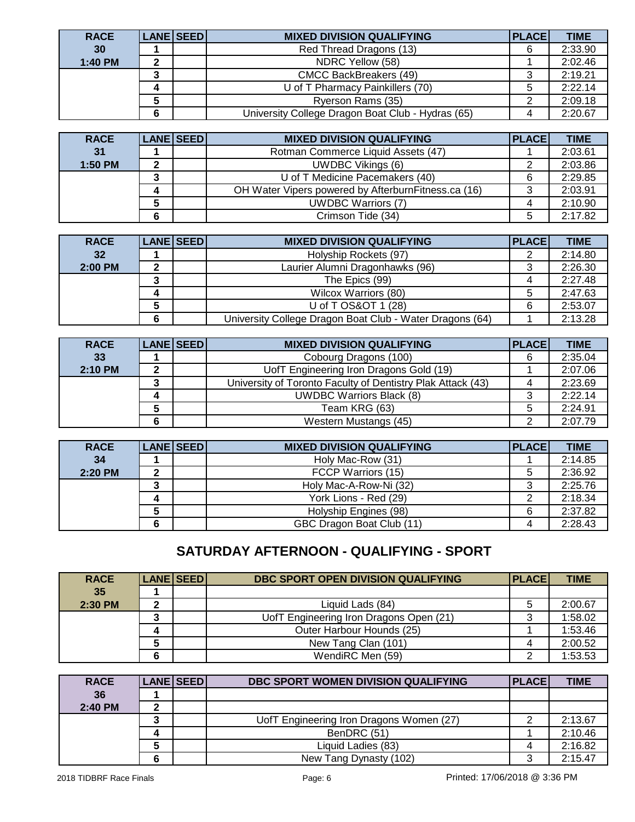| <b>RACE</b> |   | <b>LANE SEED</b> | <b>MIXED DIVISION QUALIFYING</b>                  | PLACE | <b>TIME</b> |
|-------------|---|------------------|---------------------------------------------------|-------|-------------|
| 30          |   |                  | Red Thread Dragons (13)                           | 6     | 2:33.90     |
| 1:40 PM     |   |                  | NDRC Yellow (58)                                  |       | 2:02.46     |
|             |   |                  | <b>CMCC BackBreakers (49)</b>                     | ◠     | 2:19.21     |
|             |   |                  | U of T Pharmacy Painkillers (70)                  | 5     | 2:22.14     |
|             |   |                  | Ryerson Rams (35)                                 | ົ     | 2:09.18     |
|             | 6 |                  | University College Dragon Boat Club - Hydras (65) |       | 2:20.67     |

| <b>RACE</b> | LANE SEED | <b>MIXED DIVISION QUALIFYING</b>                     | <b>PLACE</b> | <b>TIME</b> |
|-------------|-----------|------------------------------------------------------|--------------|-------------|
| 31          |           | Rotman Commerce Liquid Assets (47)                   |              | 2:03.61     |
| 1:50 PM     |           | <b>UWDBC Vikings (6)</b>                             |              | 2:03.86     |
|             |           | U of T Medicine Pacemakers (40)                      | 6            | 2:29.85     |
|             |           | OH Water Vipers powered by Afterburn Fitness.ca (16) |              | 2:03.91     |
|             |           | <b>UWDBC Warriors (7)</b>                            |              | 2:10.90     |
|             |           | Crimson Tide (34)                                    |              | 2:17.82     |

| <b>RACE</b> |   | LANE SEED | <b>MIXED DIVISION QUALIFYING</b>                         | <b>PLACE</b> | <b>TIME</b> |
|-------------|---|-----------|----------------------------------------------------------|--------------|-------------|
| 32          |   |           | Holyship Rockets (97)                                    | 2            | 2:14.80     |
| 2:00 PM     |   |           | Laurier Alumni Dragonhawks (96)                          | 3            | 2:26.30     |
|             |   |           | The Epics (99)                                           |              | 2:27.48     |
|             |   |           | Wilcox Warriors (80)                                     | 5            | 2:47.63     |
|             |   |           | U of T OS&OT 1 (28)                                      | 6            | 2:53.07     |
|             | 6 |           | University College Dragon Boat Club - Water Dragons (64) |              | 2:13.28     |

| <b>RACE</b> |   | LANE SEED | <b>MIXED DIVISION QUALIFYING</b>                            | PLACE | <b>TIME</b> |
|-------------|---|-----------|-------------------------------------------------------------|-------|-------------|
| 33          |   |           | Cobourg Dragons (100)                                       | 6     | 2:35.04     |
| 2:10 PM     |   |           | UofT Engineering Iron Dragons Gold (19)                     |       | 2:07.06     |
|             |   |           | University of Toronto Faculty of Dentistry Plak Attack (43) | 4     | 2:23.69     |
|             |   |           | <b>UWDBC Warriors Black (8)</b>                             | 3     | 2:22.14     |
|             |   |           | Team KRG (63)                                               | 5     | 2:24.91     |
|             | 6 |           | Western Mustangs (45)                                       | ົ     | 2:07.79     |

| <b>RACE</b> | LANE SEED | <b>MIXED DIVISION QUALIFYING</b> | <b>PLACEI</b> | <b>TIME</b> |
|-------------|-----------|----------------------------------|---------------|-------------|
| 34          |           | Holy Mac-Row (31)                |               | 2:14.85     |
| 2:20 PM     |           | FCCP Warriors (15)               | 5             | 2:36.92     |
|             |           | Holy Mac-A-Row-Ni (32)           | C۰            | 2:25.76     |
|             |           | York Lions - Red (29)            |               | 2:18.34     |
|             |           | Holyship Engines (98)            | 6             | 2:37.82     |
|             |           | GBC Dragon Boat Club (11)        | 4             | 2:28.43     |

# **SATURDAY AFTERNOON - QUALIFYING - SPORT**

| <b>RACE</b>     |    | LANE SEED | <b>DBC SPORT OPEN DIVISION QUALIFYING</b> | PLACE | <b>TIME</b> |
|-----------------|----|-----------|-------------------------------------------|-------|-------------|
| 35 <sub>1</sub> |    |           |                                           |       |             |
| 2:30 PM         | ּ״ |           | Liquid Lads (84)                          | 5     | 2:00.67     |
|                 |    |           | UofT Engineering Iron Dragons Open (21)   | 3     | 1:58.02     |
|                 |    |           | Outer Harbour Hounds (25)                 |       | 1:53.46     |
|                 |    |           | New Tang Clan (101)                       |       | 2:00.52     |
|                 |    |           | WendiRC Men (59)                          |       | 1:53.53     |

| <b>RACE</b> | <b>LANE SEED</b> | DBC SPORT WOMEN DIVISION QUALIFYING      | <b>PLACEI</b> | <b>TIME</b> |
|-------------|------------------|------------------------------------------|---------------|-------------|
| 36          |                  |                                          |               |             |
| 2:40 PM     |                  |                                          |               |             |
|             |                  | UofT Engineering Iron Dragons Women (27) |               | 2:13.67     |
|             |                  | BenDRC (51)                              |               | 2:10.46     |
|             |                  | Liquid Ladies (83)                       |               | 2:16.82     |
|             |                  | New Tang Dynasty (102)                   |               | 2:15.47     |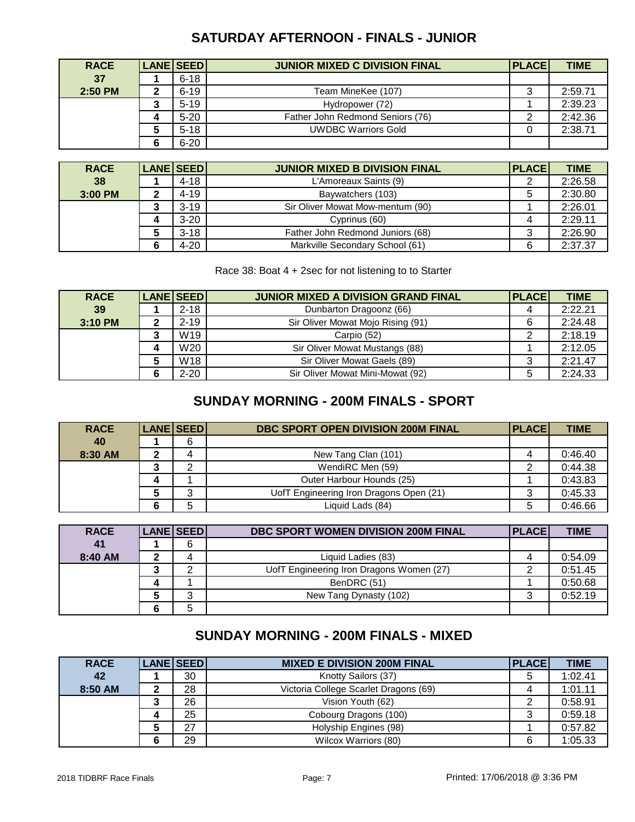## **SATURDAY AFTERNOON - FINALS - JUNIOR**

| <b>RACE</b> | <b>LANE SEED</b> | <b>JUNIOR MIXED C DIVISION FINAL</b> | <b>PLACE</b> | <b>TIME</b> |
|-------------|------------------|--------------------------------------|--------------|-------------|
| 37          | $6 - 18$         |                                      |              |             |
| $2:50$ PM   | $6 - 19$         | Team MineKee (107)                   | ت            | 2:59.71     |
|             | $5 - 19$         | Hydropower (72)                      |              | 2:39.23     |
|             | $5 - 20$         | Father John Redmond Seniors (76)     |              | 2:42.36     |
|             | $5 - 18$         | <b>UWDBC Warriors Gold</b>           |              | 2:38.71     |
|             | $6 - 20$         |                                      |              |             |

| <b>RACE</b> | <b>LANE SEED</b> | <b>JUNIOR MIXED B DIVISION FINAL</b> | <b>PLACE</b> | <b>TIME</b> |
|-------------|------------------|--------------------------------------|--------------|-------------|
| 38          | 4-18             | L'Amoreaux Saints (9)                |              | 2:26.58     |
| 3:00 PM     | 4-19             | Baywatchers (103)                    | 5            | 2:30.80     |
|             | $3 - 19$         | Sir Oliver Mowat Mow-mentum (90)     |              | 2:26.01     |
|             | $3 - 20$         | Cyprinus (60)                        |              | 2:29.11     |
|             | $3 - 18$         | Father John Redmond Juniors (68)     | 2<br>ت       | 2:26.90     |
|             | $4 - 20$         | Markville Secondary School (61)      | 6            | 2:37.37     |

Race 38: Boat 4 + 2sec for not listening to to Starter

| <b>RACE</b> | <b>LANE SEED</b> | JUNIOR MIXED A DIVISION GRAND FINAL | <b>PLACE</b> | <b>TIME</b> |
|-------------|------------------|-------------------------------------|--------------|-------------|
| 39          | $2 - 18$         | Dunbarton Dragoonz (66)             | 4            | 2:22.21     |
| 3:10 PM     | $2 - 19$         | Sir Oliver Mowat Mojo Rising (91)   | 6            | 2:24.48     |
|             | W19              | Carpio (52)                         |              | 2:18.19     |
|             | W20              | Sir Oliver Mowat Mustangs (88)      |              | 2:12.05     |
|             | W18              | Sir Oliver Mowat Gaels (89)         |              | 2:21.47     |
|             | $2 - 20$         | Sir Oliver Mowat Mini-Mowat (92)    | 5            | 2:24.33     |

#### **SUNDAY MORNING - 200M FINALS - SPORT**

| <b>RACE</b> | LANE SEED | <b>DBC SPORT OPEN DIVISION 200M FINAL</b> | <b>PLACE</b> | <b>TIME</b> |
|-------------|-----------|-------------------------------------------|--------------|-------------|
| 40          | 6         |                                           |              |             |
| 8:30 AM     |           | New Tang Clan (101)                       |              | 0:46.40     |
|             |           | WendiRC Men (59)                          |              | 0:44.38     |
|             |           | Outer Harbour Hounds (25)                 |              | 0:43.83     |
|             | ⌒         | UofT Engineering Iron Dragons Open (21)   | 3            | 0:45.33     |
|             |           | Liquid Lads (84)                          | 5            | 0:46.66     |

| <b>RACE</b> | LANE SEED | <b>DBC SPORT WOMEN DIVISION 200M FINAL</b> | <b>PLACE</b> | <b>TIME</b> |
|-------------|-----------|--------------------------------------------|--------------|-------------|
| 41          | 6         |                                            |              |             |
| 8:40 AM     |           | Liquid Ladies (83)                         |              | 0:54.09     |
|             |           | UofT Engineering Iron Dragons Women (27)   |              | 0:51.45     |
|             |           | BenDRC (51)                                |              | 0:50.68     |
|             | ົ         | New Tang Dynasty (102)                     | າ            | 0:52.19     |
|             | 5         |                                            |              |             |

# **SUNDAY MORNING - 200M FINALS - MIXED**

| <b>RACE</b> | LANE SEED | <b>MIXED E DIVISION 200M FINAL</b>    | <b>PLACE</b> | <b>TIME</b> |
|-------------|-----------|---------------------------------------|--------------|-------------|
| 42          | 30        | Knotty Sailors (37)                   | 5            | 1:02.41     |
| 8:50 AM     | 28        | Victoria College Scarlet Dragons (69) |              | 1:01.11     |
|             | 26        | Vision Youth (62)                     | ົ            | 0:58.91     |
|             | 25        | Cobourg Dragons (100)                 | ົ<br>◡       | 0:59.18     |
|             | 27        | Holyship Engines (98)                 |              | 0:57.82     |
|             | 29        | Wilcox Warriors (80)                  | 6            | 1:05.33     |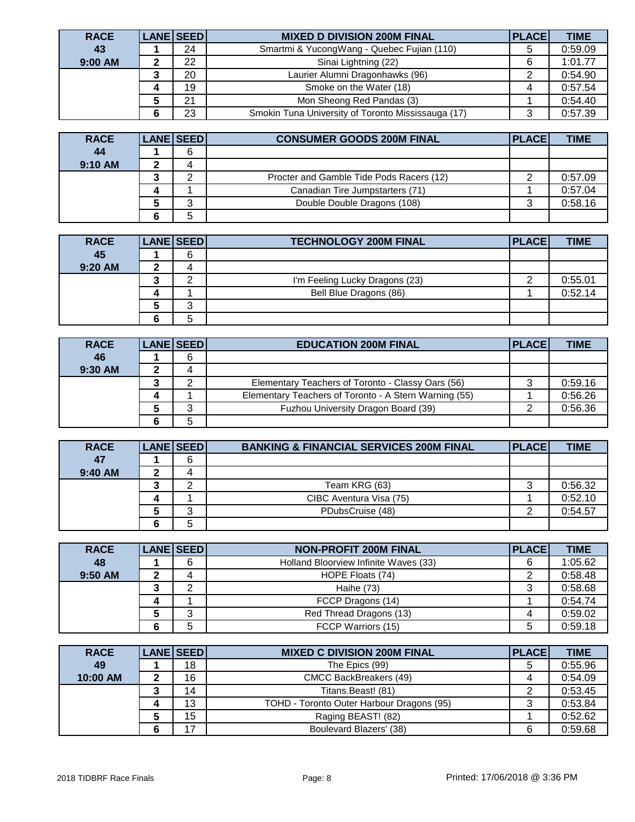| <b>RACE</b> | <b>LANE SEED</b> | <b>MIXED D DIVISION 200M FINAL</b>                 | <b>PLACE</b> | <b>TIME</b> |
|-------------|------------------|----------------------------------------------------|--------------|-------------|
| 43          | 24               | Smartmi & YucongWang - Quebec Fujian (110)         | 5            | 0:59.09     |
| 9:00 AM     | 22               | Sinai Lightning (22)                               | 6            | 1:01.77     |
|             | 20               | Laurier Alumni Dragonhawks (96)                    | ◠            | 0:54.90     |
|             | 19               | Smoke on the Water (18)                            |              | 0:57.54     |
|             | 21               | Mon Sheong Red Pandas (3)                          |              | 0:54.40     |
|             | 23               | Smokin Tuna University of Toronto Mississauga (17) | 3            | 0:57.39     |

| <b>RACE</b> | <b>LANE SEED</b> | <b>CONSUMER GOODS 200M FINAL</b>         | <b>PLACEI</b> | <b>TIME</b> |
|-------------|------------------|------------------------------------------|---------------|-------------|
| 44          | 6                |                                          |               |             |
| 9:10 AM     |                  |                                          |               |             |
|             |                  | Procter and Gamble Tide Pods Racers (12) |               | 0:57.09     |
|             |                  | Canadian Tire Jumpstarters (71)          |               | 0:57.04     |
|             | ົ                | Double Double Dragons (108)              |               | 0:58.16     |
|             | 5                |                                          |               |             |

| <b>RACE</b> |   | <b>LANE SEED</b> | <b>TECHNOLOGY 200M FINAL</b>   | <b>PLACE</b> | <b>TIME</b> |
|-------------|---|------------------|--------------------------------|--------------|-------------|
| 45          |   | 6                |                                |              |             |
| 9:20 AM     |   |                  |                                |              |             |
|             | w |                  | I'm Feeling Lucky Dragons (23) |              | 0:55.01     |
|             |   |                  | Bell Blue Dragons (86)         |              | 0:52.14     |
|             |   | ົ                |                                |              |             |
|             |   | 5                |                                |              |             |

| <b>RACE</b> | LANE SEED | <b>EDUCATION 200M FINAL</b>                           | <b>PLACE</b> | <b>TIME</b> |
|-------------|-----------|-------------------------------------------------------|--------------|-------------|
| 46          | 6         |                                                       |              |             |
| 9:30 AM     |           |                                                       |              |             |
|             |           | Elementary Teachers of Toronto - Classy Oars (56)     |              | 0:59.16     |
|             |           | Elementary Teachers of Toronto - A Stern Warning (55) |              | 0:56.26     |
|             | ⌒         | Fuzhou University Dragon Board (39)                   |              | 0:56.36     |
|             |           |                                                       |              |             |

| <b>RACE</b> |   | <b>LANE SEED</b> | <b>BANKING &amp; FINANCIAL SERVICES 200M FINAL</b> | <b>PLACE</b> | <b>TIME</b> |
|-------------|---|------------------|----------------------------------------------------|--------------|-------------|
| 47          |   | 6                |                                                    |              |             |
| 9:40 AM     | c | д                |                                                    |              |             |
|             |   |                  | Team KRG (63)                                      | د.           | 0:56.32     |
|             |   |                  | CIBC Aventura Visa (75)                            |              | 0:52.10     |
|             |   | ⌒                | PDubsCruise (48)                                   |              | 0:54.57     |
|             |   | 5                |                                                    |              |             |

| <b>RACE</b> | <b>LANE SEED</b> | <b>NON-PROFIT 200M FINAL</b>          | <b>PLACE</b> | <b>TIME</b> |
|-------------|------------------|---------------------------------------|--------------|-------------|
| 48          | 6                | Holland Bloorview Infinite Waves (33) | 6            | 1:05.62     |
| $9:50$ AM   |                  | HOPE Floats (74)                      |              | 0:58.48     |
|             |                  | Haihe (73)                            |              | 0:58.68     |
|             |                  | FCCP Dragons (14)                     |              | 0:54.74     |
|             | ົ                | Red Thread Dragons (13)               |              | 0:59.02     |
|             | 5                | FCCP Warriors (15)                    | 5            | 0:59.18     |

| <b>RACE</b> | LANE SEED | <b>MIXED C DIVISION 200M FINAL</b>        | <b>PLACE</b> | <b>TIME</b> |
|-------------|-----------|-------------------------------------------|--------------|-------------|
| 49          | 18        | The Epics (99)                            |              | 0:55.96     |
| 10:00 AM    | 16        | <b>CMCC BackBreakers (49)</b>             |              | 0:54.09     |
|             | 14        | Titans.Beast! (81)                        |              | 0:53.45     |
|             | 13        | TOHD - Toronto Outer Harbour Dragons (95) |              | 0:53.84     |
|             | 15        | Raging BEAST! (82)                        |              | 0:52.62     |
|             | 17        | Boulevard Blazers' (38)                   | 6            | 0:59.68     |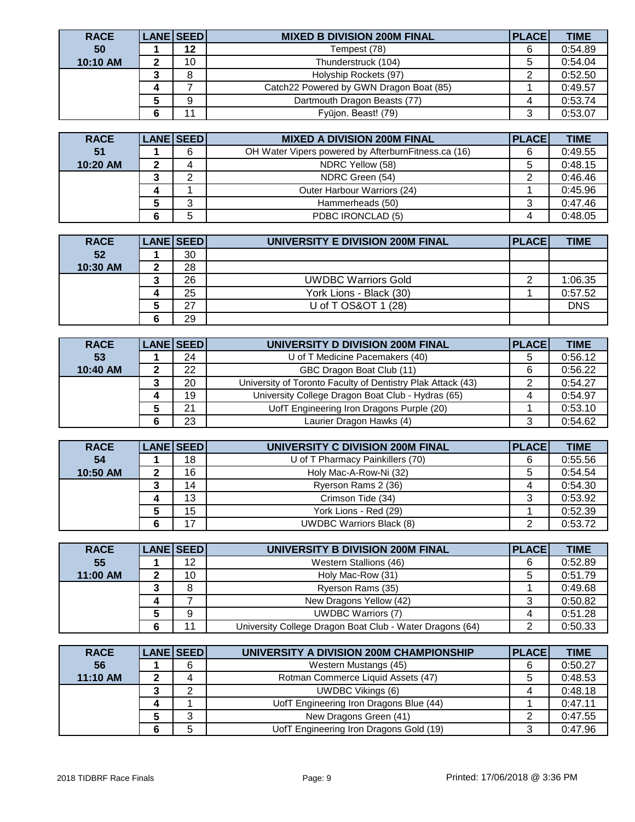| <b>RACE</b> | LANE SEED | <b>MIXED B DIVISION 200M FINAL</b>      | <b>PLACE</b> | <b>TIME</b> |
|-------------|-----------|-----------------------------------------|--------------|-------------|
| 50          | 12        | Tempest (78)                            | 6            | 0:54.89     |
| 10:10 AM    | 10        | Thunderstruck (104)                     | 5            | 0:54.04     |
|             | 8         | Holyship Rockets (97)                   |              | 0:52.50     |
|             |           | Catch22 Powered by GWN Dragon Boat (85) |              | 0:49.57     |
|             | 9         | Dartmouth Dragon Beasts (77)            |              | 0:53.74     |
|             | 44        | Fyūjon. Beast! (79)                     | 3            | 0:53.07     |

| <b>RACE</b> | <b>LANE SEED</b> | <b>MIXED A DIVISION 200M FINAL</b>                   | <b>PLACE</b> | <b>TIME</b> |
|-------------|------------------|------------------------------------------------------|--------------|-------------|
| 51          |                  | OH Water Vipers powered by Afterburn Fitness.ca (16) | 6            | 0:49.55     |
| 10:20 AM    |                  | NDRC Yellow (58)                                     |              | 0:48.15     |
|             |                  | NDRC Green (54)                                      |              | 0:46.46     |
|             |                  | Outer Harbour Warriors (24)                          |              | 0:45.96     |
|             | ົ                | Hammerheads (50)                                     |              | 0:47.46     |
|             | 5                | PDBC IRONCLAD (5)                                    |              | 0:48.05     |

| <b>RACE</b> | <b>LANE SEED</b> | UNIVERSITY E DIVISION 200M FINAL | <b>PLACE</b> | <b>TIME</b> |
|-------------|------------------|----------------------------------|--------------|-------------|
| 52          | 30               |                                  |              |             |
| 10:30 AM    | 28               |                                  |              |             |
|             | 26               | <b>UWDBC Warriors Gold</b>       |              | 1:06.35     |
|             | 25               | York Lions - Black (30)          |              | 0:57.52     |
|             | 27               | U of T OS&OT 1 (28)              |              | <b>DNS</b>  |
|             | 29               |                                  |              |             |

| <b>RACE</b> |   | <b>LANE SEED</b> | UNIVERSITY D DIVISION 200M FINAL                            | <b>PLACE</b> | <b>TIME</b> |
|-------------|---|------------------|-------------------------------------------------------------|--------------|-------------|
| 53          |   | 24               | U of T Medicine Pacemakers (40)                             |              | 0:56.12     |
| 10:40 AM    |   | 22               | GBC Dragon Boat Club (11)                                   | 6            | 0:56.22     |
|             |   | 20               | University of Toronto Faculty of Dentistry Plak Attack (43) |              | 0:54.27     |
|             | д | 19               | University College Dragon Boat Club - Hydras (65)           |              | 0:54.97     |
|             |   | 21               | UofT Engineering Iron Dragons Purple (20)                   |              | 0:53.10     |
|             |   | 23               | Laurier Dragon Hawks (4)                                    | 3            | 0:54.62     |

| <b>RACE</b> |   | <b>LANE SEED</b> | UNIVERSITY C DIVISION 200M FINAL | <b>PLACE</b> | <b>TIME</b> |
|-------------|---|------------------|----------------------------------|--------------|-------------|
| 54          |   | 18               | U of T Pharmacy Painkillers (70) | 6            | 0:55.56     |
| 10:50 AM    | ◠ | 16               | Holy Mac-A-Row-Ni (32)           | 5            | 0:54.54     |
|             |   | 14               | Ryerson Rams 2 (36)              | 4            | 0:54.30     |
|             |   | 13               | Crimson Tide (34)                |              | 0:53.92     |
|             |   | 15               | York Lions - Red (29)            |              | 0:52.39     |
|             |   | 17               | <b>UWDBC Warriors Black (8)</b>  |              | 0:53.72     |

| <b>RACE</b> | LANE SEED | UNIVERSITY B DIVISION 200M FINAL                         | <b>PLACE</b> | <b>TIME</b> |
|-------------|-----------|----------------------------------------------------------|--------------|-------------|
| 55          | 12        | Western Stallions (46)                                   | 6            | 0:52.89     |
| 11:00 AM    | 10        | Holy Mac-Row (31)                                        |              | 0:51.79     |
|             | 8         | Ryerson Rams (35)                                        |              | 0:49.68     |
|             |           | New Dragons Yellow (42)                                  | 3            | 0:50.82     |
|             | 9         | <b>UWDBC Warriors (7)</b>                                |              | 0:51.28     |
|             | 11        | University College Dragon Boat Club - Water Dragons (64) | າ            | 0:50.33     |

| <b>RACE</b> | LANE SEED | UNIVERSITY A DIVISION 200M CHAMPIONSHIP | <b>PLACE</b> | <b>TIME</b> |
|-------------|-----------|-----------------------------------------|--------------|-------------|
| 56          | -6        | Western Mustangs (45)                   | 6            | 0:50.27     |
| 11:10 AM    |           | Rotman Commerce Liquid Assets (47)      | 5            | 0:48.53     |
|             | ⌒         | <b>UWDBC Vikings (6)</b>                |              | 0:48.18     |
|             |           | UofT Engineering Iron Dragons Blue (44) |              | 0:47.11     |
|             | ⌒         | New Dragons Green (41)                  | ◠            | 0:47.55     |
|             | 5         | UofT Engineering Iron Dragons Gold (19) | 3            | 0:47.96     |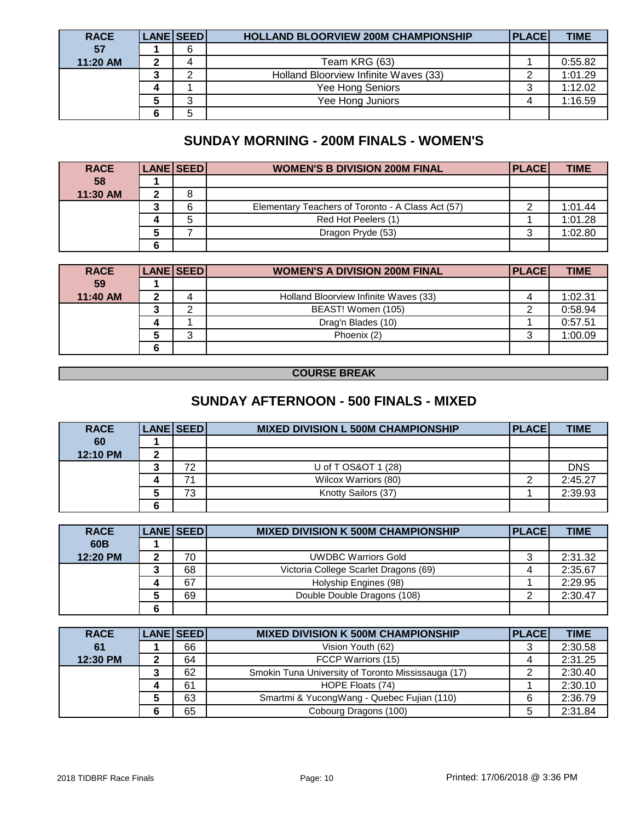| <b>RACE</b> | <b>LANE SEEDI</b> | <b>HOLLAND BLOORVIEW 200M CHAMPIONSHIP</b> | <b>PLACE</b> | <b>TIME</b> |
|-------------|-------------------|--------------------------------------------|--------------|-------------|
| 57          | 6                 |                                            |              |             |
| 11:20 AM    |                   | Team KRG (63)                              |              | 0:55.82     |
|             |                   | Holland Bloorview Infinite Waves (33)      |              | 1:01.29     |
|             |                   | Yee Hong Seniors                           | J            | 1:12.02     |
|             | ົ                 | Yee Hong Juniors                           |              | 1:16.59     |
|             | 5                 |                                            |              |             |

# **SUNDAY MORNING - 200M FINALS - WOMEN'S**

| <b>RACE</b> |   | LANE SEED | <b>WOMEN'S B DIVISION 200M FINAL</b>              | <b>PLACE</b> | <b>TIME</b> |
|-------------|---|-----------|---------------------------------------------------|--------------|-------------|
| 58          |   |           |                                                   |              |             |
| 11:30 AM    |   | 8         |                                                   |              |             |
|             |   | 6         | Elementary Teachers of Toronto - A Class Act (57) |              | 1:01.44     |
|             |   | 5         | Red Hot Peelers (1)                               |              | 1:01.28     |
|             |   |           | Dragon Pryde (53)                                 | າ            | 1:02.80     |
|             | ◠ |           |                                                   |              |             |

| <b>RACE</b> |   | <b>LANE SEED</b> | <b>WOMEN'S A DIVISION 200M FINAL</b>  | <b>PLACE</b> | <b>TIME</b> |
|-------------|---|------------------|---------------------------------------|--------------|-------------|
| 59          |   |                  |                                       |              |             |
| 11:40 AM    |   |                  | Holland Bloorview Infinite Waves (33) |              | 1:02.31     |
|             |   |                  | BEAST! Women (105)                    |              | 0:58.94     |
|             |   |                  | Drag'n Blades (10)                    |              | 0:57.51     |
|             |   | ົ                | Phoenix (2)                           | っ            | 1:00.09     |
|             | 6 |                  |                                       |              |             |

#### **COURSE BREAK**

## **SUNDAY AFTERNOON - 500 FINALS - MIXED**

| <b>RACE</b> |   | LANE SEED | <b>MIXED DIVISION L 500M CHAMPIONSHIP</b> | <b>PLACE</b> | <b>TIME</b> |
|-------------|---|-----------|-------------------------------------------|--------------|-------------|
| 60          |   |           |                                           |              |             |
| 12:10 PM    |   |           |                                           |              |             |
|             |   | 72        | U of T OS&OT 1 (28)                       |              | <b>DNS</b>  |
|             |   |           | Wilcox Warriors (80)                      |              | 2:45.27     |
|             |   | 73        | Knotty Sailors (37)                       |              | 2:39.93     |
|             | ◠ |           |                                           |              |             |

| <b>RACE</b>     | <b>LANE SEED</b> | <b>MIXED DIVISION K 500M CHAMPIONSHIP</b> | <b>PLACE</b> | <b>TIME</b> |
|-----------------|------------------|-------------------------------------------|--------------|-------------|
| 60 <sub>B</sub> |                  |                                           |              |             |
| 12:20 PM        | 70               | <b>UWDBC Warriors Gold</b>                |              | 2:31.32     |
|                 | 68               | Victoria College Scarlet Dragons (69)     |              | 2:35.67     |
|                 | 67               | Holyship Engines (98)                     |              | 2:29.95     |
|                 | 69               | Double Double Dragons (108)               |              | 2:30.47     |
|                 |                  |                                           |              |             |

| <b>RACE</b> | <b>LANE SEED</b> | <b>MIXED DIVISION K 500M CHAMPIONSHIP</b>          | <b>PLACE</b> | <b>TIME</b> |
|-------------|------------------|----------------------------------------------------|--------------|-------------|
| 61          | 66               | Vision Youth (62)                                  | 3            | 2:30.58     |
| 12:30 PM    | 64               | FCCP Warriors (15)                                 | 4            | 2:31.25     |
|             | 62               | Smokin Tuna University of Toronto Mississauga (17) |              | 2:30.40     |
|             | 61               | HOPE Floats (74)                                   |              | 2:30.10     |
|             | 63               | Smartmi & YucongWang - Quebec Fujian (110)         | 6            | 2:36.79     |
|             | 65               | Cobourg Dragons (100)                              | 5            | 2:31.84     |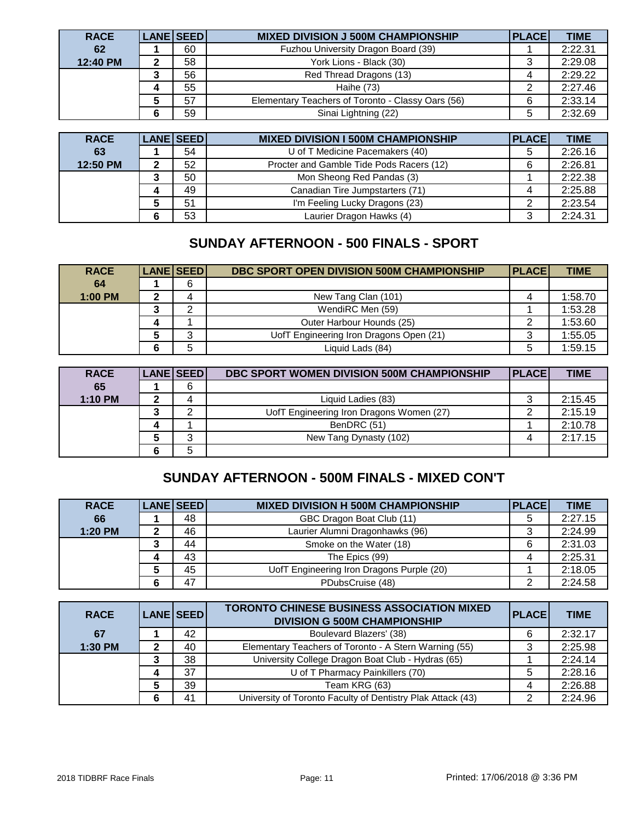| <b>RACE</b> | LANE SEED | <b>MIXED DIVISION J 500M CHAMPIONSHIP</b>         | PLACE | <b>TIME</b> |
|-------------|-----------|---------------------------------------------------|-------|-------------|
| 62          | 60        | Fuzhou University Dragon Board (39)               |       | 2:22.31     |
| 12:40 PM    | 58        | York Lions - Black (30)                           |       | 2:29.08     |
|             | 56        | Red Thread Dragons (13)                           |       | 2:29.22     |
|             | 55        | Haihe (73)                                        |       | 2:27.46     |
|             | 57        | Elementary Teachers of Toronto - Classy Oars (56) | 6     | 2:33.14     |
|             | 59        | Sinai Lightning (22)                              | 5     | 2:32.69     |

| <b>RACE</b> | LANE SEED | <b>MIXED DIVISION I 500M CHAMPIONSHIP</b> | <b>PLACE</b> | <b>TIME</b> |
|-------------|-----------|-------------------------------------------|--------------|-------------|
| 63          | 54        | U of T Medicine Pacemakers (40)           | 5            | 2:26.16     |
| 12:50 PM    | 52        | Procter and Gamble Tide Pods Racers (12)  | 6            | 2:26.81     |
|             | 50        | Mon Sheong Red Pandas (3)                 |              | 2:22.38     |
|             | 49        | Canadian Tire Jumpstarters (71)           |              | 2:25.88     |
|             | 51        | I'm Feeling Lucky Dragons (23)            | っ            | 2:23.54     |
|             | 53        | Laurier Dragon Hawks (4)                  |              | 2:24.31     |

# **SUNDAY AFTERNOON - 500 FINALS - SPORT**

| <b>RACE</b> | <b>LANE SEED</b> | DBC SPORT OPEN DIVISION 500M CHAMPIONSHIP | <b>PLACE</b> | <b>TIME</b> |
|-------------|------------------|-------------------------------------------|--------------|-------------|
| 64          | 6                |                                           |              |             |
| $1:00$ PM   |                  | New Tang Clan (101)                       | 4            | 1:58.70     |
|             | ⌒                | WendiRC Men (59)                          |              | 1:53.28     |
|             |                  | Outer Harbour Hounds (25)                 |              | 1:53.60     |
|             | ົ                | UofT Engineering Iron Dragons Open (21)   | د            | 1:55.05     |
|             | 5                | Liquid Lads (84)                          | 5            | 1:59.15     |

| <b>RACE</b> | <b>LANE SEED</b> | DBC SPORT WOMEN DIVISION 500M CHAMPIONSHIP | <b>PLACE</b> | <b>TIME</b> |
|-------------|------------------|--------------------------------------------|--------------|-------------|
| 65          | 6                |                                            |              |             |
| $1:10$ PM   |                  | Liquid Ladies (83)                         | د            | 2:15.45     |
|             |                  | UofT Engineering Iron Dragons Women (27)   | ົ            | 2:15.19     |
|             |                  | BenDRC (51)                                |              | 2:10.78     |
|             | ົ                | New Tang Dynasty (102)                     |              | 2:17.15     |
|             | 5                |                                            |              |             |

## **SUNDAY AFTERNOON - 500M FINALS - MIXED CON'T**

| <b>RACE</b> | <b>LANE SEED</b> | <b>MIXED DIVISION H 500M CHAMPIONSHIP</b> | <b>PLACE</b> | <b>TIME</b> |
|-------------|------------------|-------------------------------------------|--------------|-------------|
| 66          | 48               | GBC Dragon Boat Club (11)                 | 5            | 2:27.15     |
| 1:20 PM     | 46               | Laurier Alumni Dragonhawks (96)           |              | 2:24.99     |
|             | 44               | Smoke on the Water (18)                   | 6            | 2:31.03     |
|             | 43               | The Epics (99)                            | 4            | 2:25.31     |
|             | 45               | UofT Engineering Iron Dragons Purple (20) |              | 2:18.05     |
|             | 47               | PDubsCruise (48)                          | ⌒            | 2:24.58     |

| <b>RACE</b> | LANE SEED | <b>TORONTO CHINESE BUSINESS ASSOCIATION MIXED</b><br><b>DIVISION G 500M CHAMPIONSHIP</b> | <b>PLACE</b> | <b>TIME</b> |
|-------------|-----------|------------------------------------------------------------------------------------------|--------------|-------------|
| 67          | 42        | Boulevard Blazers' (38)                                                                  | 6            | 2:32.17     |
| 1:30 PM     | 40        | Elementary Teachers of Toronto - A Stern Warning (55)                                    | 3            | 2:25.98     |
|             | 38        | University College Dragon Boat Club - Hydras (65)                                        |              | 2:24.14     |
|             | 37        | U of T Pharmacy Painkillers (70)                                                         | 5            | 2:28.16     |
|             | 39        | Team KRG (63)                                                                            | 4            | 2:26.88     |
|             | 41        | University of Toronto Faculty of Dentistry Plak Attack (43)                              | 2            | 2:24.96     |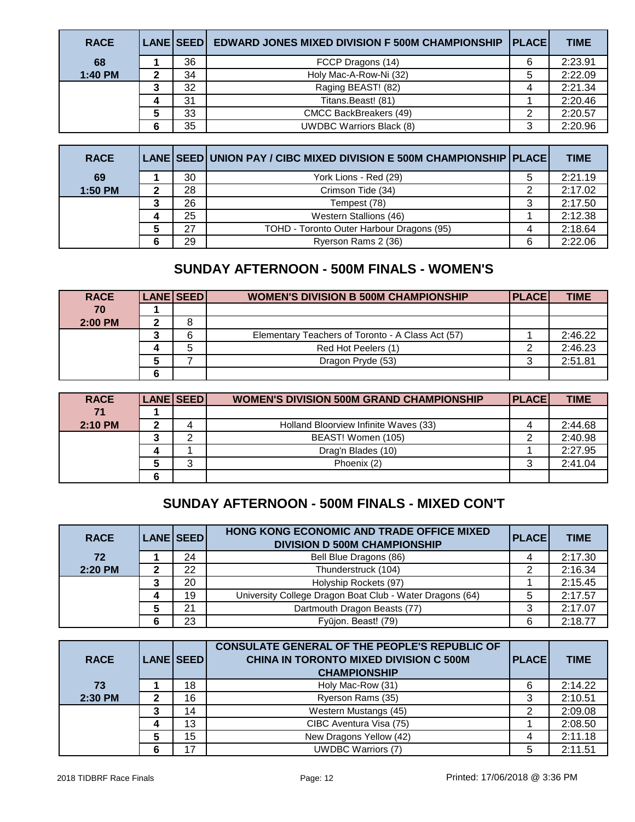| <b>RACE</b> | LANE SEED | <b>EDWARD JONES MIXED DIVISION F 500M CHAMPIONSHIP   PLACE </b> |   | <b>TIME</b> |
|-------------|-----------|-----------------------------------------------------------------|---|-------------|
| 68          | 36        | FCCP Dragons (14)                                               | 6 | 2:23.91     |
| 1:40 PM     | 34        | Holy Mac-A-Row-Ni (32)                                          | 5 | 2:22.09     |
|             | 32        | Raging BEAST! (82)                                              |   | 2:21.34     |
|             | 31        | Titans.Beast! (81)                                              |   | 2:20.46     |
|             | 33        | CMCC BackBreakers (49)                                          | ◠ | 2:20.57     |
|             | 35        | <b>UWDBC Warriors Black (8)</b>                                 | 3 | 2:20.96     |

| <b>RACE</b> |    | LANE SEED UNION PAY / CIBC MIXED DIVISION E 500M CHAMPIONSHIP PLACE |   | <b>TIME</b> |
|-------------|----|---------------------------------------------------------------------|---|-------------|
| 69          | 30 | York Lions - Red (29)                                               | 5 | 2:21.19     |
| 1:50 PM     | 28 | Crimson Tide (34)                                                   | ⌒ | 2:17.02     |
|             | 26 | Tempest (78)                                                        | 3 | 2:17.50     |
|             | 25 | Western Stallions (46)                                              |   | 2:12.38     |
|             | 27 | TOHD - Toronto Outer Harbour Dragons (95)                           |   | 2:18.64     |
|             | 29 | Ryerson Rams 2 (36)                                                 | 6 | 2:22.06     |

### **SUNDAY AFTERNOON - 500M FINALS - WOMEN'S**

| <b>RACE</b> | <b>LANE SEED</b> | <b>WOMEN'S DIVISION B 500M CHAMPIONSHIP</b>       | <b>PLACEI</b> | <b>TIME</b> |
|-------------|------------------|---------------------------------------------------|---------------|-------------|
| 70          |                  |                                                   |               |             |
| 2:00 PM     |                  |                                                   |               |             |
|             | 6                | Elementary Teachers of Toronto - A Class Act (57) |               | 2:46.22     |
|             | 5                | Red Hot Peelers (1)                               |               | 2:46.23     |
|             |                  | Dragon Pryde (53)                                 | ົ             | 2:51.81     |
|             |                  |                                                   |               |             |

| <b>RACE</b> |   | <b>LANE SEED</b> | <b>WOMEN'S DIVISION 500M GRAND CHAMPIONSHIP</b> | <b>PLACEI</b> | <b>TIME</b> |
|-------------|---|------------------|-------------------------------------------------|---------------|-------------|
| 71          |   |                  |                                                 |               |             |
| $2:10$ PM   |   |                  | Holland Bloorview Infinite Waves (33)           |               | 2:44.68     |
|             |   |                  | BEAST! Women (105)                              |               | 2:40.98     |
|             |   |                  | Drag'n Blades (10)                              |               | 2:27.95     |
|             |   |                  | Phoenix (2)                                     |               | 2:41.04     |
|             | 6 |                  |                                                 |               |             |

## **SUNDAY AFTERNOON - 500M FINALS - MIXED CON'T**

| <b>RACE</b> | LANE SEED | HONG KONG ECONOMIC AND TRADE OFFICE MIXED<br><b>DIVISION D 500M CHAMPIONSHIP</b> | <b>PLACE</b> | <b>TIME</b> |
|-------------|-----------|----------------------------------------------------------------------------------|--------------|-------------|
| 72          | 24        | Bell Blue Dragons (86)                                                           |              | 2:17.30     |
| 2:20 PM     | 22        | Thunderstruck (104)                                                              |              | 2:16.34     |
|             | 20        | Holyship Rockets (97)                                                            |              | 2:15.45     |
|             | 19        | University College Dragon Boat Club - Water Dragons (64)                         | 5            | 2:17.57     |
|             | 21        | Dartmouth Dragon Beasts (77)                                                     | 3            | 2:17.07     |
|             | 23        | Fyūjon. Beast! (79)                                                              | 6            | 2:18.77     |

|             |   |                  | <b>CONSULATE GENERAL OF THE PEOPLE'S REPUBLIC OF</b> |              |             |
|-------------|---|------------------|------------------------------------------------------|--------------|-------------|
| <b>RACE</b> |   | <b>LANE SEED</b> | <b>CHINA IN TORONTO MIXED DIVISION C 500M</b>        | <b>PLACE</b> | <b>TIME</b> |
|             |   |                  | <b>CHAMPIONSHIP</b>                                  |              |             |
| 73          |   | 18               | Holy Mac-Row (31)                                    | 6            | 2:14.22     |
| 2:30 PM     |   | 16               | Ryerson Rams (35)                                    |              | 2:10.51     |
|             |   | 14               | Western Mustangs (45)                                | 2            | 2:09.08     |
|             |   | 13               | CIBC Aventura Visa (75)                              |              | 2:08.50     |
|             |   | 15               | New Dragons Yellow (42)                              | 4            | 2:11.18     |
|             | 6 | 17               | <b>UWDBC Warriors (7)</b>                            | 5            | 2:11.51     |